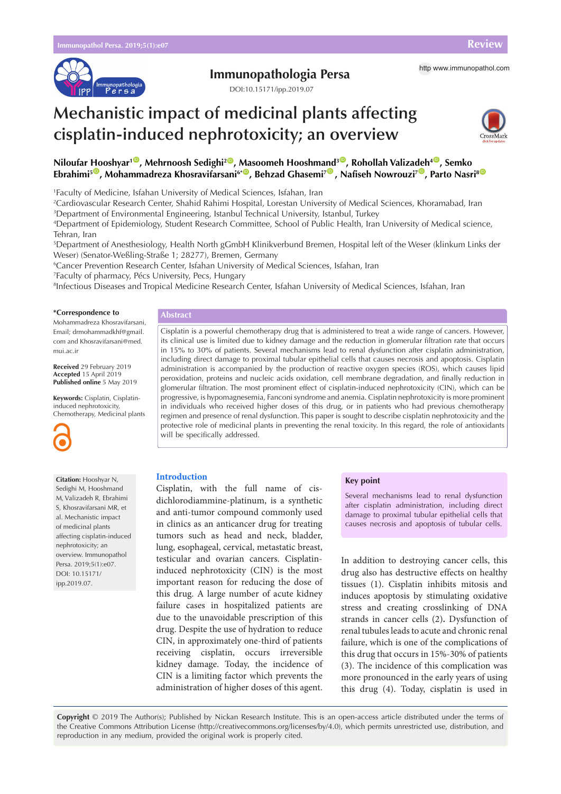

# **Immunopathologia Persa** http [www.immunopathol.com](http://www.immunopathol.com)

DOI[:10.15171/ipp.2019.07](https://doi.org/10.15171/ipp.2019.07)

# **Mechanistic impact of medicinal plants affecting cisplatin-induced nephrotoxicity; an overview**



 $\blacksquare$ Niloufar [Ho](https://orcid.org/0000-0003-2391-0616)oshyar $\blacksquare$ , Mehrnoosh Sedighi $\mathsf{2}^\blacksquare$ , Masoomeh Hooshm[and](https://orcid.org/0000-0001-9600-9728) $\mathsf{3}^\blacksquare$ , Rohollah Valiza[deh](https://orcid.org/0000-0002-3734-8583) $\mathsf{4}^\blacksquare$ , Semko **Ebrahimi<sup>5</sup><sup>®</sup>, Mohammadreza Khosravifarsani<sup>6\*®</sup>, Behzad Ghasemi<sup>7®</sup>, Nafiseh Nowrouzi<sup>7®</sup>, Parto Nasri<sup>8®</sup>** 

1 Faculty of Medicine, Isfahan University of Medical Sciences, Isfahan, Iran

2 Cardiovascular Research Center, Shahid Rahimi Hospital, Lorestan University of Medical Sciences, Khoramabad, Iran 3 Department of Environmental Engineering, Istanbul Technical University, Istanbul, Turkey

4 Department of Epidemiology, Student Research Committee, School of Public Health, Iran University of Medical science, Tehran, Iran

5 Department of Anesthesiology, Health North gGmbH Klinikverbund Bremen, Hospital left of the Weser (klinkum Links der Weser) (Senator-Weßling-Straße 1; 28277), Bremen, Germany

6 Cancer Prevention Research Center, Isfahan University of Medical Sciences, Isfahan, Iran

7 Faculty of pharmacy, Pécs University, Pecs, Hungary

8 Infectious Diseases and Tropical Medicine Research Center, Isfahan University of Medical Sciences, Isfahan, Iran

#### **\*Correspondence to**

Mohammadreza Khosravifarsani, Email; drmohammadkhf@gmail. com and Khosravifarsani@med. mui.ac.ir

**Received** 29 February 2019 **Accepted** 15 April 2019 **Published online** 5 May 2019

**Keywords:** Cisplatin, Cisplatininduced nephrotoxicity, Chemotherapy, Medicinal plants



**Citation:** Hooshyar N, Sedighi M, Hooshmand M, Valizadeh R, Ebrahimi S, Khosravifarsani MR, et al. Mechanistic impact of medicinal plants affecting cisplatin-induced nephrotoxicity; an overview. Immunopathol Persa. 2019;5(1):e07. DOI: 10.15171/ ipp.2019.07.

# **Abstract**

Cisplatin is a powerful chemotherapy drug that is administered to treat a wide range of cancers. However, its clinical use is limited due to kidney damage and the reduction in glomerular filtration rate that occurs in 15% to 30% of patients. Several mechanisms lead to renal dysfunction after cisplatin administration, including direct damage to proximal tubular epithelial cells that causes necrosis and apoptosis. Cisplatin administration is accompanied by the production of reactive oxygen species (ROS), which causes lipid peroxidation, proteins and nucleic acids oxidation, cell membrane degradation, and finally reduction in glomerular filtration. The most prominent effect of cisplatin-induced nephrotoxicity (CIN), which can be progressive, is hypomagnesemia, Fanconi syndrome and anemia. Cisplatin nephrotoxicity is more prominent in individuals who received higher doses of this drug, or in patients who had previous chemotherapy regimen and presence of renal dysfunction. This paper is sought to describe cisplatin nephrotoxicity and the protective role of medicinal plants in preventing the renal toxicity. In this regard, the role of antioxidants will be specifically addressed.

# **Introduction**

Cisplatin, with the full name of cisdichlorodiammine-platinum, is a synthetic and anti-tumor compound commonly used in clinics as an anticancer drug for treating tumors such as head and neck, bladder, lung, esophageal, cervical, metastatic breast, testicular and ovarian cancers. Cisplatininduced nephrotoxicity (CIN) is the most important reason for reducing the dose of this drug. A large number of acute kidney failure cases in hospitalized patients are due to the unavoidable prescription of this drug. Despite the use of hydration to reduce CIN, in approximately one-third of patients receiving cisplatin, occurs irreversible kidney damage. Today, the incidence of CIN is a limiting factor which prevents the administration of higher doses of this agent.

#### **Key point**

Several mechanisms lead to renal dysfunction after cisplatin administration, including direct damage to proximal tubular epithelial cells that causes necrosis and apoptosis of tubular cells.

In addition to destroying cancer cells, this drug also has destructive effects on healthy tissues (1). Cisplatin inhibits mitosis and induces apoptosis by stimulating oxidative stress and creating crosslinking of DNA strands in cancer cells (2)**.** Dysfunction of renal tubules leads to acute and chronic renal failure, which is one of the complications of this drug that occurs in 15%-30% of patients (3). The incidence of this complication was more pronounced in the early years of using this drug (4). Today, cisplatin is used in

**Copyright** © 2019 The Author(s); Published by Nickan Research Institute. This is an open-access article distributed under the terms of the Creative Commons Attribution License (http://creativecommons.org/licenses/by/4.0), which permits unrestricted use, distribution, and reproduction in any medium, provided the original work is properly cited.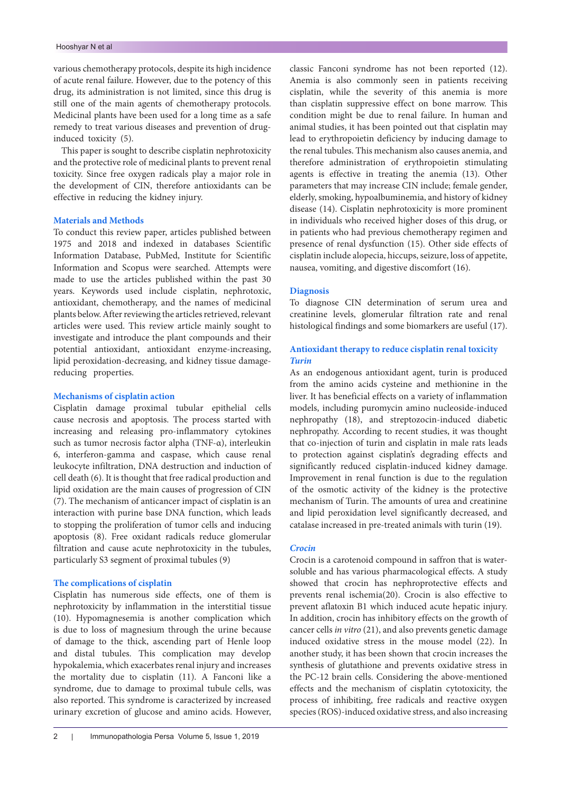various chemotherapy protocols, despite its high incidence of acute renal failure. However, due to the potency of this drug, its administration is not limited, since this drug is still one of the main agents of chemotherapy protocols. Medicinal plants have been used for a long time as a safe remedy to treat various diseases and prevention of druginduced toxicity (5).

This paper is sought to describe cisplatin nephrotoxicity and the protective role of medicinal plants to prevent renal toxicity. Since free oxygen radicals play a major role in the development of CIN, therefore antioxidants can be effective in reducing the kidney injury.

#### **Materials and Methods**

To conduct this review paper, articles published between 1975 and 2018 and indexed in databases Scientific Information Database, PubMed, Institute for Scientific Information and Scopus were searched. Attempts were made to use the articles published within the past 30 years. Keywords used include cisplatin, nephrotoxic, antioxidant, chemotherapy, and the names of medicinal plants below. After reviewing the articles retrieved, relevant articles were used. This review article mainly sought to investigate and introduce the plant compounds and their potential antioxidant, antioxidant enzyme-increasing, lipid peroxidation-decreasing, and kidney tissue damagereducing properties.

#### **Mechanisms of cisplatin action**

Cisplatin damage proximal tubular epithelial cells cause necrosis and apoptosis. The process started with increasing and releasing pro-inflammatory cytokines such as tumor necrosis factor alpha (TNF-α), interleukin 6, interferon-gamma and caspase, which cause renal leukocyte infiltration, DNA destruction and induction of cell death (6). It is thought that free radical production and lipid oxidation are the main causes of progression of CIN (7). The mechanism of anticancer impact of cisplatin is an interaction with purine base DNA function, which leads to stopping the proliferation of tumor cells and inducing apoptosis (8). Free oxidant radicals reduce glomerular filtration and cause acute nephrotoxicity in the tubules, particularly S3 segment of proximal tubules (9)

#### **The complications of cisplatin**

Cisplatin has numerous side effects, one of them is nephrotoxicity by inflammation in the interstitial tissue (10). Hypomagnesemia is another complication which is due to loss of magnesium through the urine because of damage to the thick, ascending part of Henle loop and distal tubules. This complication may develop hypokalemia, which exacerbates renal injury and increases the mortality due to cisplatin (11). A Fanconi like a syndrome, due to damage to proximal tubule cells, was also reported. This syndrome is caracterized by increased urinary excretion of glucose and amino acids. However,

classic Fanconi syndrome has not been reported (12). Anemia is also commonly seen in patients receiving cisplatin, while the severity of this anemia is more than cisplatin suppressive effect on bone marrow. This condition might be due to renal failure. In human and animal studies, it has been pointed out that cisplatin may lead to erythropoietin deficiency by inducing damage to the renal tubules. This mechanism also causes anemia, and therefore administration of erythropoietin stimulating agents is effective in treating the anemia (13). Other parameters that may increase CIN include; female gender, elderly, smoking, hypoalbuminemia, and history of kidney disease (14). Cisplatin nephrotoxicity is more prominent in individuals who received higher doses of this drug, or in patients who had previous chemotherapy regimen and presence of renal dysfunction (15). Other side effects of cisplatin include alopecia, hiccups, seizure, loss of appetite, nausea, vomiting, and digestive discomfort (16).

#### **Diagnosis**

To diagnose CIN determination of serum urea and creatinine levels, glomerular filtration rate and renal histological findings and some biomarkers are useful (17).

# **Antioxidant therapy to reduce cisplatin renal toxicity** *Turin*

As an endogenous antioxidant agent, turin is produced from the amino acids cysteine and methionine in the liver. It has beneficial effects on a variety of inflammation models, including puromycin amino nucleoside-induced nephropathy (18), and streptozocin-induced diabetic nephropathy. According to recent studies, it was thought that co-injection of turin and cisplatin in male rats leads to protection against cisplatin's degrading effects and significantly reduced cisplatin-induced kidney damage. Improvement in renal function is due to the regulation of the osmotic activity of the kidney is the protective mechanism of Turin. The amounts of urea and creatinine and lipid peroxidation level significantly decreased, and catalase increased in pre-treated animals with turin (19).

#### *Crocin*

Crocin is a carotenoid compound in saffron that is watersoluble and has various pharmacological effects. A study showed that crocin has nephroprotective effects and prevents renal ischemia(20). Crocin is also effective to prevent aflatoxin B1 which induced acute hepatic injury. In addition, crocin has inhibitory effects on the growth of cancer cells *in vitro* (21), and also prevents genetic damage induced oxidative stress in the mouse model (22). In another study, it has been shown that crocin increases the synthesis of glutathione and prevents oxidative stress in the PC-12 brain cells. Considering the above-mentioned effects and the mechanism of cisplatin cytotoxicity, the process of inhibiting, free radicals and reactive oxygen species (ROS)-induced oxidative stress, and also increasing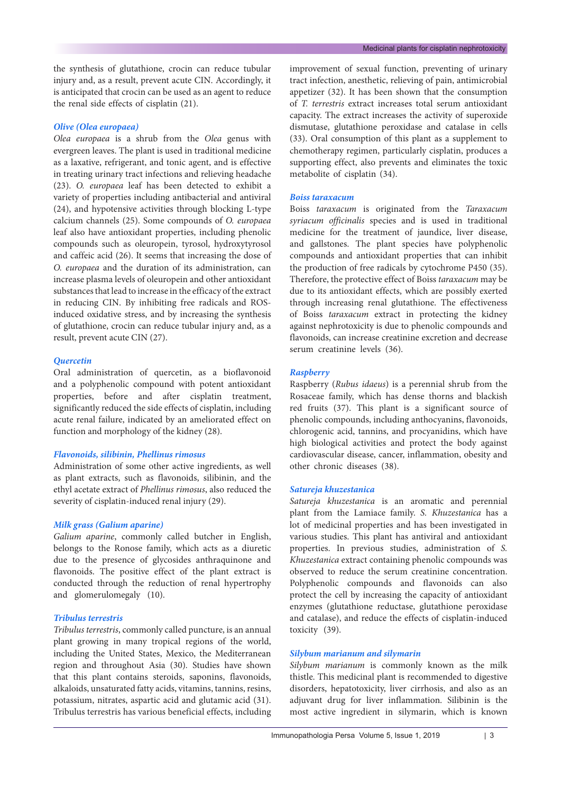the synthesis of glutathione, crocin can reduce tubular injury and, as a result, prevent acute CIN. Accordingly, it is anticipated that crocin can be used as an agent to reduce the renal side effects of cisplatin (21).

# *Olive (Olea europaea)*

*Olea europaea* is a shrub from the *Olea* genus with evergreen leaves. The plant is used in traditional medicine as a laxative, refrigerant, and tonic agent, and is effective in treating urinary tract infections and relieving headache (23). *O. europaea* leaf has been detected to exhibit a variety of properties including antibacterial and antiviral (24), and hypotensive activities through blocking L-type calcium channels (25). Some compounds of *O. europaea*  leaf also have antioxidant properties, including phenolic compounds such as oleuropein, tyrosol, hydroxytyrosol and caffeic acid (26). It seems that increasing the dose of *O. europaea* and the duration of its administration, can increase plasma levels of oleuropein and other antioxidant substances that lead to increase in the efficacy of the extract in reducing CIN. By inhibiting free radicals and ROSinduced oxidative stress, and by increasing the synthesis of glutathione, crocin can reduce tubular injury and, as a result, prevent acute CIN (27).

# *Quercetin*

Oral administration of quercetin, as a bioflavonoid and a polyphenolic compound with potent antioxidant properties, before and after cisplatin treatment, significantly reduced the side effects of cisplatin, including acute renal failure, indicated by an ameliorated effect on function and morphology of the kidney (28).

# *Flavonoids, silibinin, Phellinus rimosus*

Administration of some other active ingredients, as well as plant extracts, such as flavonoids, silibinin, and the ethyl acetate extract of *Phellinus rimosus*, also reduced the severity of cisplatin-induced renal injury (29).

# *Milk grass (Galium aparine)*

*Galium aparine*, commonly called butcher in English, belongs to the Ronose family, which acts as a diuretic due to the presence of glycosides anthraquinone and flavonoids. The positive effect of the plant extract is conducted through the reduction of renal hypertrophy and glomerulomegaly (10).

# *Tribulus terrestris*

*Tribulus terrestris*, commonly called puncture, is an annual plant growing in many tropical regions of the world, including the United States, Mexico, the Mediterranean region and throughout Asia (30)*.* Studies have shown that this plant contains steroids, saponins, flavonoids, alkaloids, unsaturated fatty acids, vitamins, tannins, resins, potassium, nitrates, aspartic acid and glutamic acid (31). Tribulus terrestris has various beneficial effects, including

improvement of sexual function, preventing of urinary tract infection, anesthetic, relieving of pain, antimicrobial appetizer (32). It has been shown that the consumption of *T. terrestris* extract increases total serum antioxidant capacity. The extract increases the activity of superoxide dismutase, glutathione peroxidase and catalase in cells (33). Oral consumption of this plant as a supplement to chemotherapy regimen, particularly cisplatin, produces a supporting effect, also prevents and eliminates the toxic metabolite of cisplatin (34).

#### *Boiss taraxacum*

Boiss *taraxacum* is originated from the *Taraxacum syriacum officinalis* species and is used in traditional medicine for the treatment of jaundice, liver disease, and gallstones. The plant species have polyphenolic compounds and antioxidant properties that can inhibit the production of free radicals by cytochrome P450 (35). Therefore, the protective effect of Boiss *taraxacum* may be due to its antioxidant effects, which are possibly exerted through increasing renal glutathione. The effectiveness of Boiss *taraxacum* extract in protecting the kidney against nephrotoxicity is due to phenolic compounds and flavonoids, can increase creatinine excretion and decrease serum creatinine levels (36).

# *Raspberry*

Raspberry (*Rubus idaeus*) is a perennial shrub from the Rosaceae family, which has dense thorns and blackish red fruits (37). This plant is a significant source of phenolic compounds, including anthocyanins, flavonoids, chlorogenic acid, tannins, and procyanidins, which have high biological activities and protect the body against cardiovascular disease, cancer, inflammation, obesity and other chronic diseases (38).

# *Satureja khuzestanica*

*Satureja khuzestanica* is an aromatic and perennial plant from the Lamiace family. *S. Khuzestanica* has a lot of medicinal properties and has been investigated in various studies. This plant has antiviral and antioxidant properties. In previous studies, administration of *S. Khuzestanica* extract containing phenolic compounds was observed to reduce the serum creatinine concentration. Polyphenolic compounds and flavonoids can also protect the cell by increasing the capacity of antioxidant enzymes (glutathione reductase, glutathione peroxidase and catalase), and reduce the effects of cisplatin-induced toxicity (39).

# *Silybum marianum and silymarin*

*Silybum marianum* is commonly known as the milk thistle. This medicinal plant is recommended to digestive disorders, hepatotoxicity, liver cirrhosis, and also as an adjuvant drug for liver inflammation. Silibinin is the most active ingredient in silymarin, which is known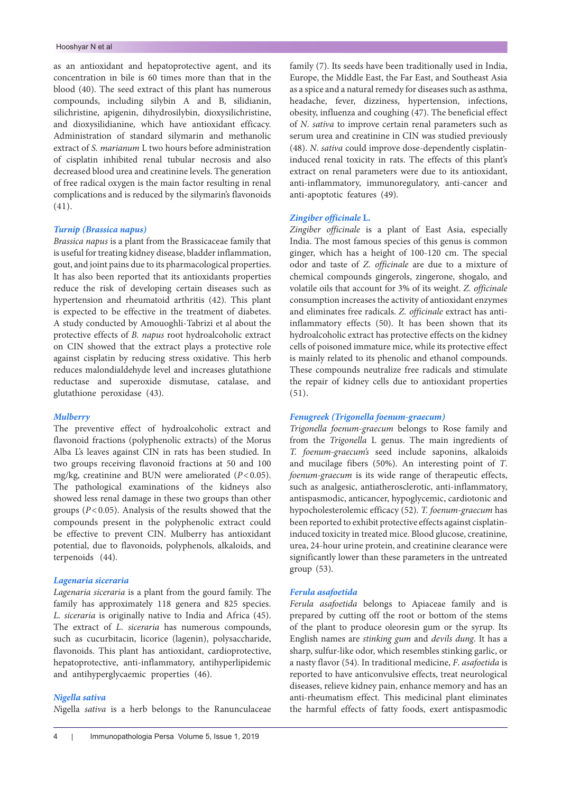as an antioxidant and hepatoprotective agent, and its concentration in bile is 60 times more than that in the blood (40). The seed extract of this plant has numerous compounds, including silybin A and B, silidianin, silichristine, apigenin, dihydrosilybin, dioxysilichristine, and dioxysilidianine, which have antioxidant efficacy. Administration of standard silymarin and methanolic extract of *S. marianum* L two hours before administration of cisplatin inhibited renal tubular necrosis and also decreased blood urea and creatinine levels. The generation of free radical oxygen is the main factor resulting in renal complications and is reduced by the silymarin's flavonoids (41).

#### *Turnip (Brassica napus)*

*Brassica napus* is a plant from the Brassicaceae family that is useful for treating kidney disease, bladder inflammation, gout, and joint pains due to its pharmacological properties. It has also been reported that its antioxidants properties reduce the risk of developing certain diseases such as hypertension and rheumatoid arthritis (42). This plant is expected to be effective in the treatment of diabetes. A study conducted by Amouoghli-Tabrizi et al about the protective effects of *B. napus* root hydroalcoholic extract on CIN showed that the extract plays a protective role against cisplatin by reducing stress oxidative. This herb reduces malondialdehyde level and increases glutathione reductase and superoxide dismutase, catalase, and glutathione peroxidase (43).

#### *Mulberry*

The preventive effect of hydroalcoholic extract and flavonoid fractions (polyphenolic extracts) of the Morus Alba L's leaves against CIN in rats has been studied. In two groups receiving flavonoid fractions at 50 and 100 mg/kg, creatinine and BUN were ameliorated (*P*<0.05). The pathological examinations of the kidneys also showed less renal damage in these two groups than other groups (*P*<0.05). Analysis of the results showed that the compounds present in the polyphenolic extract could be effective to prevent CIN. Mulberry has antioxidant potential, due to flavonoids, polyphenols, alkaloids, and terpenoids (44).

#### *Lagenaria siceraria*

*Lagenaria siceraria* is a plant from the gourd family. The family has approximately 118 genera and 825 species. *L. siceraria* is originally native to India and Africa (45). The extract of *L*. *siceraria* has numerous compounds, such as cucurbitacin, licorice (lagenin), polysaccharide, flavonoids. This plant has antioxidant, cardioprotective, hepatoprotective, anti-inflammatory, antihyperlipidemic and antihyperglycaemic properties (46).

#### *Nigella sativa*

*N*igella *sativa* is a herb belongs to the Ranunculaceae

family (7). Its seeds have been traditionally used in India, Europe, the Middle East, the Far East, and Southeast Asia as a spice and a natural remedy for diseases such as asthma, headache, fever, dizziness, hypertension, infections, obesity, influenza and coughing (47). The beneficial effect of *N*. *sativa* to improve certain renal parameters such as serum urea and creatinine in CIN was studied previously (48). *N*. *sativa* could improve dose-dependently cisplatininduced renal toxicity in rats. The effects of this plant's extract on renal parameters were due to its antioxidant, anti-inflammatory, immunoregulatory, anti-cancer and anti-apoptotic features (49).

#### *Zingiber officinale* **L.**

*Zingiber officinale* is a plant of East Asia, especially India. The most famous species of this genus is common ginger, which has a height of 100-120 cm. The special odor and taste of *Z. officinale* are due to a mixture of chemical compounds gingerols, zingerone, shogalo, and volatile oils that account for 3% of its weight. *Z. officinale*  consumption increases the activity of antioxidant enzymes and eliminates free radicals. *Z. officinale* extract has antiinflammatory effects (50). It has been shown that its hydroalcoholic extract has protective effects on the kidney cells of poisoned immature mice, while its protective effect is mainly related to its phenolic and ethanol compounds. These compounds neutralize free radicals and stimulate the repair of kidney cells due to antioxidant properties (51).

# *Fenugreek (Trigonella foenum-graecum)*

*Trigonella foenum-graecum* belongs to Rose family and from the *Trigonella* L genus. The main ingredients of *T. foenum-graecum's* seed include saponins, alkaloids and mucilage fibers (50%). An interesting point of *T*. *foenum-graecum* is its wide range of therapeutic effects, such as analgesic, antiatherosclerotic, anti-inflammatory, antispasmodic, anticancer, hypoglycemic, cardiotonic and hypocholesterolemic efficacy (52)*. T. foenum-graecum* has been reported to exhibit protective effects against cisplatininduced toxicity in treated mice. Blood glucose, creatinine, urea, 24-hour urine protein, and creatinine clearance were significantly lower than these parameters in the untreated group (53).

# *Ferula asafoetida*

*Ferula asafoetida* belongs to Apiaceae family and is prepared by cutting off the root or bottom of the stems of the plant to produce oleoresin gum or the syrup. Its English names are *stinking gum* and *devils dung*. It has a sharp, sulfur-like odor, which resembles stinking garlic, or a nasty flavor (54). In traditional medicine, *F*. *asafoetida* is reported to have anticonvulsive effects, treat neurological diseases, relieve kidney pain, enhance memory and has an anti-rheumatism effect. This medicinal plant eliminates the harmful effects of fatty foods, exert antispasmodic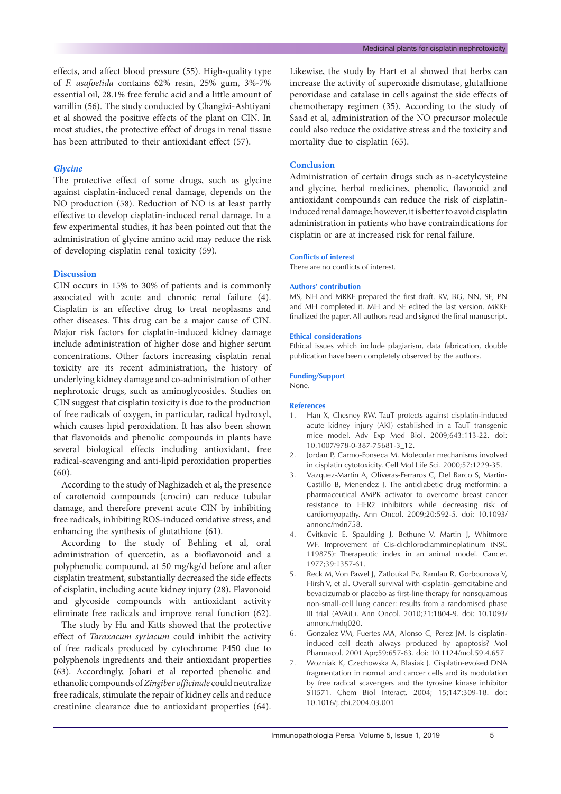effects, and affect blood pressure (55). High-quality type of *F. asafoetida* contains 62% resin, 25% gum, 3%-7% essential oil, 28.1% free ferulic acid and a little amount of vanillin (56). The study conducted by Changizi-Ashtiyani et al showed the positive effects of the plant on CIN. In most studies, the protective effect of drugs in renal tissue has been attributed to their antioxidant effect (57).

# *Glycine*

The protective effect of some drugs, such as glycine against cisplatin-induced renal damage, depends on the NO production (58). Reduction of NO is at least partly effective to develop cisplatin-induced renal damage. In a few experimental studies, it has been pointed out that the administration of glycine amino acid may reduce the risk of developing cisplatin renal toxicity (59).

#### **Discussion**

CIN occurs in 15% to 30% of patients and is commonly associated with acute and chronic renal failure (4). Cisplatin is an effective drug to treat neoplasms and other diseases. This drug can be a major cause of CIN. Major risk factors for cisplatin-induced kidney damage include administration of higher dose and higher serum concentrations. Other factors increasing cisplatin renal toxicity are its recent administration, the history of underlying kidney damage and co-administration of other nephrotoxic drugs, such as aminoglycosides. Studies on CIN suggest that cisplatin toxicity is due to the production of free radicals of oxygen, in particular, radical hydroxyl, which causes lipid peroxidation. It has also been shown that flavonoids and phenolic compounds in plants have several biological effects including antioxidant, free radical-scavenging and anti-lipid peroxidation properties (60).

According to the study of Naghizadeh et al, the presence of carotenoid compounds (crocin) can reduce tubular damage, and therefore prevent acute CIN by inhibiting free radicals, inhibiting ROS-induced oxidative stress, and enhancing the synthesis of glutathione (61).

According to the study of Behling et al, oral administration of quercetin, as a bioflavonoid and a polyphenolic compound, at 50 mg/kg/d before and after cisplatin treatment, substantially decreased the side effects of cisplatin, including acute kidney injury (28). Flavonoid and glycoside compounds with antioxidant activity eliminate free radicals and improve renal function (62).

The study by Hu and Kitts showed that the protective effect of *Taraxacum syriacum* could inhibit the activity of free radicals produced by cytochrome P450 due to polyphenols ingredients and their antioxidant properties (63). Accordingly, Johari et al reported phenolic and ethanolic compounds of *Zingiber officinale* could neutralize free radicals, stimulate the repair of kidney cells and reduce creatinine clearance due to antioxidant properties (64).

Likewise, the study by Hart et al showed that herbs can increase the activity of superoxide dismutase, glutathione peroxidase and catalase in cells against the side effects of chemotherapy regimen (35). According to the study of Saad et al, administration of the NO precursor molecule could also reduce the oxidative stress and the toxicity and mortality due to cisplatin (65).

# **Conclusion**

Administration of certain drugs such as n-acetylcysteine and glycine, herbal medicines, phenolic, flavonoid and antioxidant compounds can reduce the risk of cisplatininduced renal damage; however, it is better to avoid cisplatin administration in patients who have contraindications for cisplatin or are at increased risk for renal failure.

#### **Conflicts of interest**

There are no conflicts of interest.

#### **Authors' contribution**

MS, NH and MRKF prepared the first draft. RV, BG, NN, SE, PN and MH completed it. MH and SE edited the last version. MRKF finalized the paper. All authors read and signed the final manuscript.

#### **Ethical considerations**

Ethical issues which include plagiarism, data fabrication, double publication have been completely observed by the authors.

#### **Funding/Support**

None.

#### **References**

- 1. Han X, Chesney RW. TauT protects against cisplatin-induced acute kidney injury (AKI) established in a TauT transgenic mice model. Adv Exp Med Biol. 2009;643:113-22. doi: 10.1007/978-0-387-75681-3\_12.
- 2. Jordan P, Carmo-Fonseca M. Molecular mechanisms involved in cisplatin cytotoxicity. Cell Mol Life Sci. 2000;57:1229-35.
- 3. Vazquez-Martin A, Oliveras-Ferraros C, Del Barco S, Martin-Castillo B, Menendez J. The antidiabetic drug metformin: a pharmaceutical AMPK activator to overcome breast cancer resistance to HER2 inhibitors while decreasing risk of cardiomyopathy. Ann Oncol. 2009;20:592-5. doi: 10.1093/ annonc/mdn758.
- 4. Cvitkovic E, Spaulding J, Bethune V, Martin J, Whitmore WF. Improvement of Cis-dichlorodiammineplatinum (NSC 119875): Therapeutic index in an animal model. Cancer. 1977;39:1357-61.
- 5. Reck M, Von Pawel J, Zatloukal Pv, Ramlau R, Gorbounova V, Hirsh V, et al. Overall survival with cisplatin–gemcitabine and bevacizumab or placebo as first-line therapy for nonsquamous non-small-cell lung cancer: results from a randomised phase III trial (AVAiL). Ann Oncol. 2010;21:1804-9. doi: 10.1093/ annonc/mdq020.
- 6. Gonzalez VM, Fuertes MA, Alonso C, Perez JM. Is cisplatininduced cell death always produced by apoptosis? Mol Pharmacol. 2001 Apr;59:657-63. doi: 10.1124/mol.59.4.657
- 7. Wozniak K, Czechowska A, Blasiak J. Cisplatin-evoked DNA fragmentation in normal and cancer cells and its modulation by free radical scavengers and the tyrosine kinase inhibitor STI571. Chem Biol Interact. 2004; 15;147:309-18. doi: 10.1016/j.cbi.2004.03.001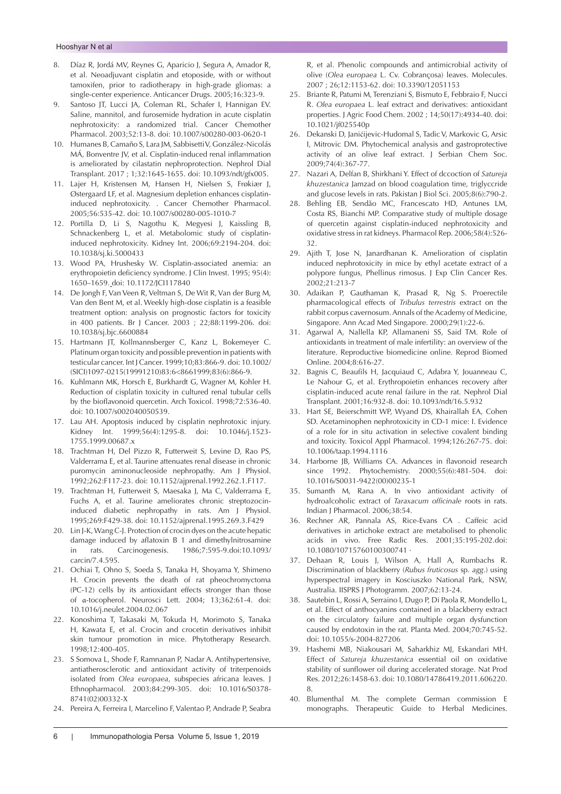- 8. Díaz R, Jordá MV, Reynes G, Aparicio J, Segura A, Amador R, et al. Neoadjuvant cisplatin and etoposide, with or without tamoxifen, prior to radiotherapy in high-grade gliomas: a single-center experience. Anticancer Drugs. 2005;16:323-9.
- 9. Santoso JT, Lucci JA, Coleman RL, Schafer I, Hannigan EV. Saline, mannitol, and furosemide hydration in acute cisplatin nephrotoxicity: a randomized trial. Cancer Chemother Pharmacol. 2003;52:13-8. doi: 10.1007/s00280-003-0620-1
- 10. Humanes B, Camaño S, Lara JM, Sabbisetti V, González-Nicolás MÁ, Bonventre JV, et al. Cisplatin-induced renal inflammation is ameliorated by cilastatin nephroprotection. Nephrol Dial Transplant. 2017 ; 1;32:1645-1655. doi: 10.1093/ndt/gfx005.
- 11. Lajer H, Kristensen M, Hansen H, Nielsen S, Frøkiær J, Østergaard LF, et al. Magnesium depletion enhances cisplatininduced nephrotoxicity. . Cancer Chemother Pharmacol. 2005;56:535-42. doi: 10.1007/s00280-005-1010-7
- 12. Portilla D, Li S, Nagothu K, Megyesi J, Kaissling B, Schnackenberg L, et al. Metabolomic study of cisplatininduced nephrotoxicity. Kidney Int. 2006;69:2194-204. doi: 10.1038/sj.ki.5000433
- 13. Wood PA, Hrushesky W. Cisplatin-associated anemia: an erythropoietin deficiency syndrome. J Clin Invest. 1995; 95(4): 1650–1659. doi: 10.1172/JCI117840
- 14. De Jongh F, Van Veen R, Veltman S, De Wit R, Van der Burg M, Van den Bent M, et al. Weekly high-dose cisplatin is a feasible treatment option: analysis on prognostic factors for toxicity in 400 patients. Br J Cancer. 2003 ; 22;88:1199-206. doi: 10.1038/sj.bjc.6600884
- 15. Hartmann JT, Kollmannsberger C, Kanz L, Bokemeyer C. Platinum organ toxicity and possible prevention in patients with testicular cancer. Int J Cancer. 1999;10;83:866-9. doi: 10.1002/ (SICI)1097-0215(19991210)83:6<8661999;83(6):866-9.
- 16. Kuhlmann MK, Horsch E, Burkhardt G, Wagner M, Kohler H. Reduction of cisplatin toxicity in cultured renal tubular cells by the bioflavonoid quercetin. Arch Toxicol. 1998;72:536-40. doi: 10.1007/s002040050539.
- 17. Lau AH. Apoptosis induced by cisplatin nephrotoxic injury. Kidney Int. 1999;56(4):1295-8. doi: 10.1046/j.1523- 1755.1999.00687.x
- 18. Trachtman H, Del Pizzo R, Futterweit S, Levine D, Rao PS, Valderrama E, et al. Taurine attenuates renal disease in chronic puromycin aminonucleoside nephropathy. Am J Physiol. 1992;262:F117-23. doi: 10.1152/ajprenal.1992.262.1.F117.
- 19. Trachtman H, Futterweit S, Maesaka J, Ma C, Valderrama E, Fuchs A, et al. Taurine ameliorates chronic streptozocininduced diabetic nephropathy in rats. Am J Physiol. 1995;269:F429-38. doi: 10.1152/ajprenal.1995.269.3.F429
- 20. Lin J-K, Wang C-J. Protection of crocin dyes on the acute hepatic damage induced by aflatoxin B 1 and dimethylnitrosamine in rats. Carcinogenesis. 1986;7:595-9.doi:10.1093/ carcin/7.4.595.
- 21. Ochiai T, Ohno S, Soeda S, Tanaka H, Shoyama Y, Shimeno H. Crocin prevents the death of rat pheochromyctoma (PC-12) cells by its antioxidant effects stronger than those of α-tocopherol. Neurosci Lett. 2004; 13;362:61-4. doi: 10.1016/j.neulet.2004.02.067
- 22. Konoshima T, Takasaki M, Tokuda H, Morimoto S, Tanaka H, Kawata E, et al. Crocin and crocetin derivatives inhibit skin tumour promotion in mice. Phytotherapy Research. 1998;12:400-405.
- 23. S Somova L, Shode F, Ramnanan P, Nadar A. Antihypertensive, antiatherosclerotic and antioxidant activity of triterpenoids isolated from *Olea europaea*, subspecies africana leaves. J Ethnopharmacol. 2003;84:299-305. doi: 10.1016/S0378- 8741(02)00332-X
- 24. Pereira A, Ferreira I, Marcelino F, Valentao P, Andrade P, Seabra

R, et al. Phenolic compounds and antimicrobial activity of olive (*Olea europaea* L. Cv. Cobrançosa) leaves. Molecules. 2007 ; 26;12:1153-62. doi: 10.3390/12051153

- 25. Briante R, Patumi M, Terenziani S, Bismuto E, Febbraio F, Nucci R. *Olea europaea* L. leaf extract and derivatives: antioxidant properties. J Agric Food Chem. 2002 ; 14;50(17):4934-40. doi: 10.1021/jf025540p
- 26. Dekanski D, Janićijevic-Hudomal S, TadicV, Markovic G, Arsic I, Mitrovic DM. Phytochemical analysis and gastroprotective activity of an olive leaf extract. J Serbian Chem Soc. 2009;74(4):367-77.
- 27. Nazari A, Delfan B, Shirkhani Y. Effect of dccoction of *Satureja khuzestanica* Jamzad on blood coagulation time, triglyccride and glucose levels in rats. Pakistan J Biol Sci. 2005;8(6):790-2.
- 28. Behling EB, Sendão MC, Francescato HD, Antunes LM, Costa RS, Bianchi MP. Comparative study of multiple dosage of quercetin against cisplatin-induced nephrotoxicity and oxidative stress in rat kidneys. Pharmacol Rep. 2006;58(4):526- 32.
- 29. Ajith T, Jose N, Janardhanan K. Amelioration of cisplatin induced nephrotoxicity in mice by ethyl acetate extract of a polypore fungus, Phellinus rimosus. J Exp Clin Cancer Res. 2002;21:213-7
- 30. Adaikan P, Gauthaman K, Prasad R, Ng S. Proerectile pharmacological effects of *Tribulus terrestris* extract on the rabbit corpus cavernosum. Annals of the Academy of Medicine, Singapore. Ann Acad Med Singapore. 2000;29(1):22-6.
- 31. Agarwal A, Nallella KP, Allamaneni SS, Said TM. Role of antioxidants in treatment of male infertility: an overview of the literature. Reproductive biomedicine online. Reprod Biomed Online. 2004;8:616-27.
- 32. Bagnis C, Beaufils H, Jacquiaud C, Adabra Y, Jouanneau C, Le Nahour G, et al. Erythropoietin enhances recovery after cisplatin‐induced acute renal failure in the rat. Nephrol Dial Transplant. 2001;16:932-8. doi: 10.1093/ndt/16.5.932
- 33. Hart SE, Beierschmitt WP, Wyand DS, Khairallah EA, Cohen SD. Acetaminophen nephrotoxicity in CD-1 mice: I. Evidence of a role for in situ activation in selective covalent binding and toxicity. Toxicol Appl Pharmacol. 1994;126:267-75. doi: 10.1006/taap.1994.1116
- 34. Harborne JB, Williams CA. Advances in flavonoid research since 1992. Phytochemistry. 2000;55(6):481-504. doi: 10.1016/S0031-9422(00)00235-1
- 35. Sumanth M, Rana A. In vivo antioxidant activity of hydroalcoholic extract of *Taraxacum officinale* roots in rats. Indian J Pharmacol. 2006;38:54.
- 36. Rechner AR, Pannala AS, Rice-Evans CA . Caffeic acid derivatives in artichoke extract are metabolised to phenolic acids in vivo. Free Radic Res. 2001;35:195-202.doi: 10.1080/10715760100300741 ·
- 37. Dehaan R, Louis J, Wilson A, Hall A, Rumbachs R. Discrimination of blackberry (*Rubus fruticosus* sp. *agg*.) using hyperspectral imagery in Kosciuszko National Park, NSW, Australia. IISPRS J Photogramm. 2007;62:13-24.
- 38. Sautebin L, Rossi A, Serraino I, Dugo P, Di Paola R, Mondello L, et al. Effect of anthocyanins contained in a blackberry extract on the circulatory failure and multiple organ dysfunction caused by endotoxin in the rat. Planta Med. 2004;70:745-52. doi: 10.1055/s-2004-827206
- 39. Hashemi MB, Niakousari M, Saharkhiz MJ, Eskandari MH. Effect of *Satureja khuzestanica* essential oil on oxidative stability of sunflower oil during accelerated storage. Nat Prod Res. 2012;26:1458-63. doi: 10.1080/14786419.2011.606220. 8.
- 40. Blumenthal M. The complete German commission E monographs. Therapeutic Guide to Herbal Medicines.